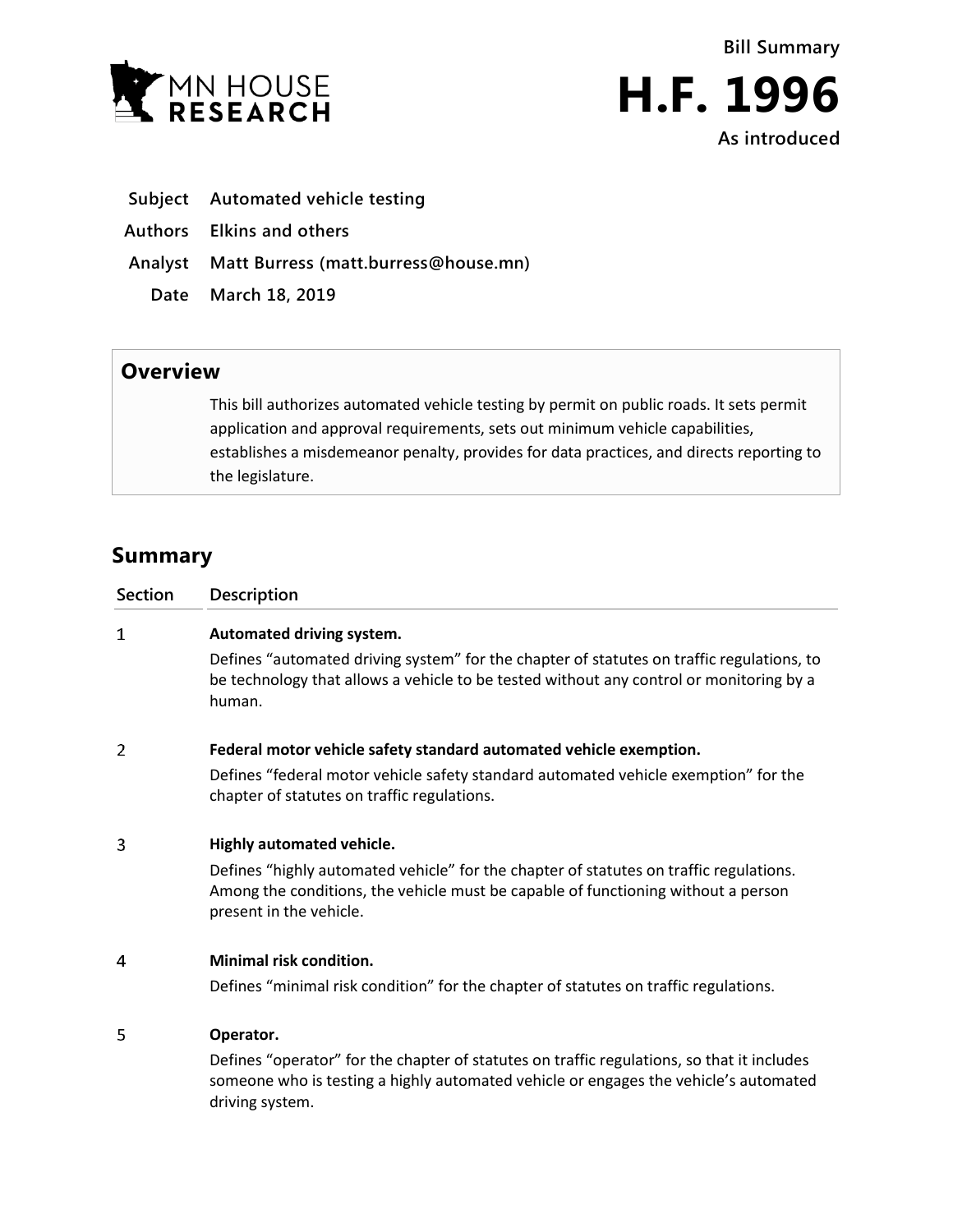



- **Subject Automated vehicle testing**
- **Authors Elkins and others**
- **Analyst Matt Burress (matt.burress@house.mn)**
	- **Date March 18, 2019**

## **Overview**

This bill authorizes automated vehicle testing by permit on public roads. It sets permit application and approval requirements, sets out minimum vehicle capabilities, establishes a misdemeanor penalty, provides for data practices, and directs reporting to the legislature.

## **Summary**

| <b>Section</b> | Description                                                                                                                                                                                                                         |
|----------------|-------------------------------------------------------------------------------------------------------------------------------------------------------------------------------------------------------------------------------------|
| $\mathbf 1$    | Automated driving system.<br>Defines "automated driving system" for the chapter of statutes on traffic regulations, to<br>be technology that allows a vehicle to be tested without any control or monitoring by a<br>human.         |
| 2              | Federal motor vehicle safety standard automated vehicle exemption.                                                                                                                                                                  |
|                | Defines "federal motor vehicle safety standard automated vehicle exemption" for the<br>chapter of statutes on traffic regulations.                                                                                                  |
| 3              | Highly automated vehicle.<br>Defines "highly automated vehicle" for the chapter of statutes on traffic regulations.<br>Among the conditions, the vehicle must be capable of functioning without a person<br>present in the vehicle. |
| 4              | <b>Minimal risk condition.</b><br>Defines "minimal risk condition" for the chapter of statutes on traffic regulations.                                                                                                              |
| 5              | Operator.<br>Defines "operator" for the chapter of statutes on traffic regulations, so that it includes<br>someone who is testing a highly automated vehicle or engages the vehicle's automated<br>driving system.                  |